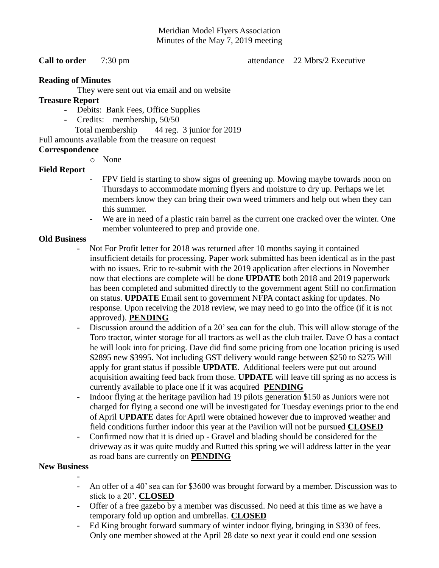# Meridian Model Flyers Association Minutes of the May 7, 2019 meeting

**Call to order** 7:30 pm attendance 22 Mbrs/2 Executive

## **Reading of Minutes**

They were sent out via email and on website

#### **Treasure Report**

- Debits: Bank Fees, Office Supplies
- Credits: membership, 50/50

Total membership 44 reg. 3 junior for 2019

Full amounts available from the treasure on request

## **Correspondence**

o None

# **Field Report**

- FPV field is starting to show signs of greening up. Mowing maybe towards noon on Thursdays to accommodate morning flyers and moisture to dry up. Perhaps we let members know they can bring their own weed trimmers and help out when they can this summer.
- We are in need of a plastic rain barrel as the current one cracked over the winter. One member volunteered to prep and provide one.

## **Old Business**

- Not For Profit letter for 2018 was returned after 10 months saying it contained insufficient details for processing. Paper work submitted has been identical as in the past with no issues. Eric to re-submit with the 2019 application after elections in November now that elections are complete will be done **UPDATE** both 2018 and 2019 paperwork has been completed and submitted directly to the government agent Still no confirmation on status. **UPDATE** Email sent to government NFPA contact asking for updates. No response. Upon receiving the 2018 review, we may need to go into the office (if it is not approved). **PENDING**
- Discussion around the addition of a 20' sea can for the club. This will allow storage of the Toro tractor, winter storage for all tractors as well as the club trailer. Dave O has a contact he will look into for pricing. Dave did find some pricing from one location pricing is used \$2895 new \$3995. Not including GST delivery would range between \$250 to \$275 Will apply for grant status if possible **UPDATE**. Additional feelers were put out around acquisition awaiting feed back from those. **UPDATE** will leave till spring as no access is currently available to place one if it was acquired **PENDING**
- Indoor flying at the heritage pavilion had 19 pilots generation \$150 as Juniors were not charged for flying a second one will be investigated for Tuesday evenings prior to the end of April **UPDATE** dates for April were obtained however due to improved weather and field conditions further indoor this year at the Pavilion will not be pursued **CLOSED**
- Confirmed now that it is dried up Gravel and blading should be considered for the driveway as it was quite muddy and Rutted this spring we will address latter in the year as road bans are currently on **PENDING**

#### **New Business**

- - An offer of a 40' sea can for \$3600 was brought forward by a member. Discussion was to stick to a 20'. **CLOSED**
- Offer of a free gazebo by a member was discussed. No need at this time as we have a temporary fold up option and umbrellas. **CLOSED**
- Ed King brought forward summary of winter indoor flying, bringing in \$330 of fees. Only one member showed at the April 28 date so next year it could end one session